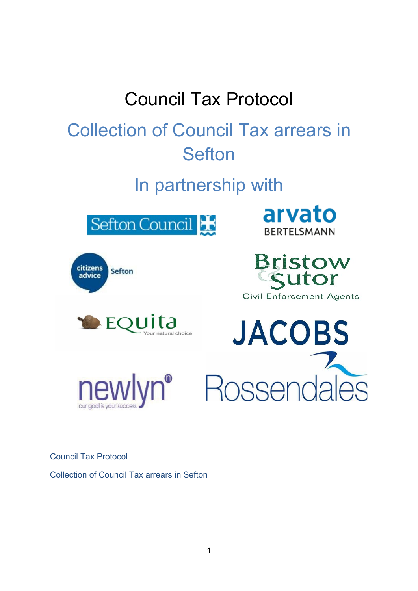# Council Tax Protocol

# Collection of Council Tax arrears in **Sefton**

### In partnership with





 $\blacktriangleright$  EQUITA

arvato **BERTELSMANN** 

**Bristow** Sutor **Civil Enforcement Agents** 

**JACOBS** newlyn<sup>®</sup> Rossendales

Council Tax Protocol

Collection of Council Tax arrears in Sefton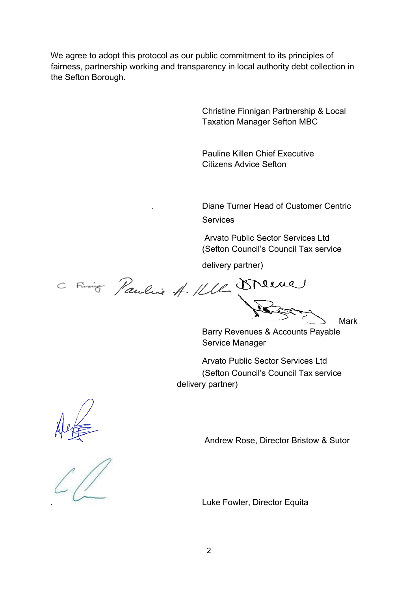We agree to adopt this protocol as our public commitment to its principles of fairness, partnership working and transparency in local authority debt collection in the Sefton Borough.

> Christine Finnigan Partnership & Local Taxation Manager Sefton MBC

Pauline Killen Chief Executive Citizens Advice Sefton

. Diane Turner Head of Customer Centric Services

Arvato Public Sector Services Ltd (Sefton Council's Council Tax service

delivery partner)

C Fining Pauline A. Ill Drewe

Mark

Barry Revenues & Accounts Payable Service Manager

Arvato Public Sector Services Ltd (Sefton Council's Council Tax service delivery partner)

Andrew Rose, Director Bristow & Sutor

. Luke Fowler, Director Equita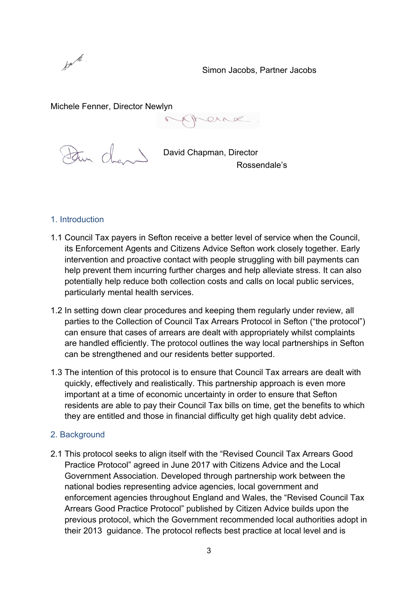

Simon Jacobs, Partner Jacobs

Michele Fenner, Director Newlyn

 $QANQ$ 

Dan chand

David Chapman, Director Rossendale's

#### 1. Introduction

- 1.1 Council Tax payers in Sefton receive a better level of service when the Council, its Enforcement Agents and Citizens Advice Sefton work closely together. Early intervention and proactive contact with people struggling with bill payments can help prevent them incurring further charges and help alleviate stress. It can also potentially help reduce both collection costs and calls on local public services, particularly mental health services.
- 1.2 In setting down clear procedures and keeping them regularly under review, all parties to the Collection of Council Tax Arrears Protocol in Sefton ("the protocol") can ensure that cases of arrears are dealt with appropriately whilst complaints are handled efficiently. The protocol outlines the way local partnerships in Sefton can be strengthened and our residents better supported.
- 1.3 The intention of this protocol is to ensure that Council Tax arrears are dealt with quickly, effectively and realistically. This partnership approach is even more important at a time of economic uncertainty in order to ensure that Sefton residents are able to pay their Council Tax bills on time, get the benefits to which they are entitled and those in financial difficulty get high quality debt advice.

#### 2. Background

2.1 This protocol seeks to align itself with the "Revised Council Tax Arrears Good Practice Protocol" agreed in June 2017 with Citizens Advice and the Local Government Association. Developed through partnership work between the national bodies representing advice agencies, local government and enforcement agencies throughout England and Wales, the "Revised Council Tax Arrears Good Practice Protocol" published by Citizen Advice builds upon the previous protocol, which the Government recommended local authorities adopt in their 2013 guidance. The protocol reflects best practice at local level and is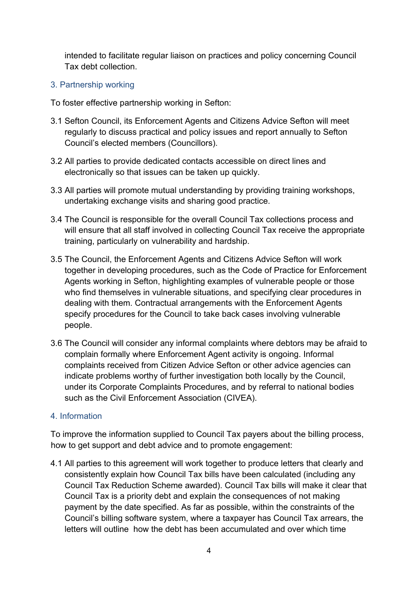intended to facilitate regular liaison on practices and policy concerning Council Tax debt collection.

3. Partnership working

To foster effective partnership working in Sefton:

- 3.1 Sefton Council, its Enforcement Agents and Citizens Advice Sefton will meet regularly to discuss practical and policy issues and report annually to Sefton Council's elected members (Councillors).
- 3.2 All parties to provide dedicated contacts accessible on direct lines and electronically so that issues can be taken up quickly.
- 3.3 All parties will promote mutual understanding by providing training workshops, undertaking exchange visits and sharing good practice.
- 3.4 The Council is responsible for the overall Council Tax collections process and will ensure that all staff involved in collecting Council Tax receive the appropriate training, particularly on vulnerability and hardship.
- 3.5 The Council, the Enforcement Agents and Citizens Advice Sefton will work together in developing procedures, such as the Code of Practice for Enforcement Agents working in Sefton, highlighting examples of vulnerable people or those who find themselves in vulnerable situations, and specifying clear procedures in dealing with them. Contractual arrangements with the Enforcement Agents specify procedures for the Council to take back cases involving vulnerable people.
- 3.6 The Council will consider any informal complaints where debtors may be afraid to complain formally where Enforcement Agent activity is ongoing. Informal complaints received from Citizen Advice Sefton or other advice agencies can indicate problems worthy of further investigation both locally by the Council, under its Corporate Complaints Procedures, and by referral to national bodies such as the Civil Enforcement Association (CIVEA).

### 4. Information

To improve the information supplied to Council Tax payers about the billing process, how to get support and debt advice and to promote engagement:

4.1 All parties to this agreement will work together to produce letters that clearly and consistently explain how Council Tax bills have been calculated (including any Council Tax Reduction Scheme awarded). Council Tax bills will make it clear that Council Tax is a priority debt and explain the consequences of not making payment by the date specified. As far as possible, within the constraints of the Council's billing software system, where a taxpayer has Council Tax arrears, the letters will outline how the debt has been accumulated and over which time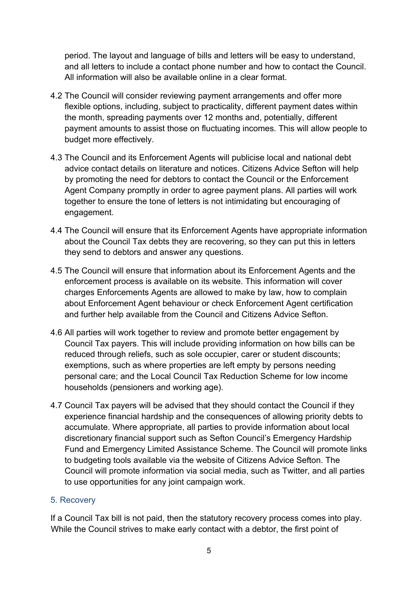period. The layout and language of bills and letters will be easy to understand, and all letters to include a contact phone number and how to contact the Council. All information will also be available online in a clear format.

- 4.2 The Council will consider reviewing payment arrangements and offer more flexible options, including, subject to practicality, different payment dates within the month, spreading payments over 12 months and, potentially, different payment amounts to assist those on fluctuating incomes. This will allow people to budget more effectively.
- 4.3 The Council and its Enforcement Agents will publicise local and national debt advice contact details on literature and notices. Citizens Advice Sefton will help by promoting the need for debtors to contact the Council or the Enforcement Agent Company promptly in order to agree payment plans. All parties will work together to ensure the tone of letters is not intimidating but encouraging of engagement.
- 4.4 The Council will ensure that its Enforcement Agents have appropriate information about the Council Tax debts they are recovering, so they can put this in letters they send to debtors and answer any questions.
- 4.5 The Council will ensure that information about its Enforcement Agents and the enforcement process is available on its website. This information will cover charges Enforcements Agents are allowed to make by law, how to complain about Enforcement Agent behaviour or check Enforcement Agent certification and further help available from the Council and Citizens Advice Sefton.
- 4.6 All parties will work together to review and promote better engagement by Council Tax payers. This will include providing information on how bills can be reduced through reliefs, such as sole occupier, carer or student discounts; exemptions, such as where properties are left empty by persons needing personal care; and the Local Council Tax Reduction Scheme for low income households (pensioners and working age).
- 4.7 Council Tax payers will be advised that they should contact the Council if they experience financial hardship and the consequences of allowing priority debts to accumulate. Where appropriate, all parties to provide information about local discretionary financial support such as Sefton Council's Emergency Hardship Fund and Emergency Limited Assistance Scheme. The Council will promote links to budgeting tools available via the website of Citizens Advice Sefton. The Council will promote information via social media, such as Twitter, and all parties to use opportunities for any joint campaign work.

#### 5. Recovery

If a Council Tax bill is not paid, then the statutory recovery process comes into play. While the Council strives to make early contact with a debtor, the first point of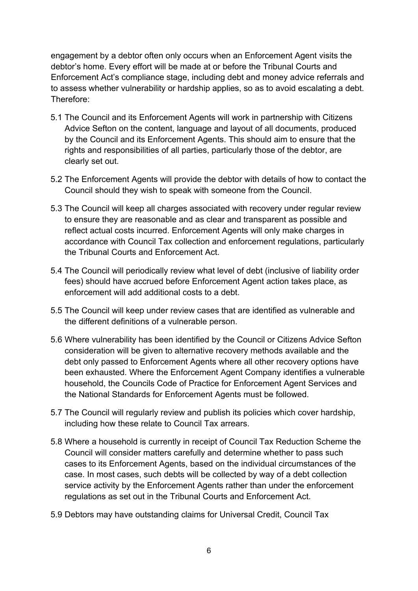engagement by a debtor often only occurs when an Enforcement Agent visits the debtor's home. Every effort will be made at or before the Tribunal Courts and Enforcement Act's compliance stage, including debt and money advice referrals and to assess whether vulnerability or hardship applies, so as to avoid escalating a debt. Therefore:

- 5.1 The Council and its Enforcement Agents will work in partnership with Citizens Advice Sefton on the content, language and layout of all documents, produced by the Council and its Enforcement Agents. This should aim to ensure that the rights and responsibilities of all parties, particularly those of the debtor, are clearly set out.
- 5.2 The Enforcement Agents will provide the debtor with details of how to contact the Council should they wish to speak with someone from the Council.
- 5.3 The Council will keep all charges associated with recovery under regular review to ensure they are reasonable and as clear and transparent as possible and reflect actual costs incurred. Enforcement Agents will only make charges in accordance with Council Tax collection and enforcement regulations, particularly the Tribunal Courts and Enforcement Act.
- 5.4 The Council will periodically review what level of debt (inclusive of liability order fees) should have accrued before Enforcement Agent action takes place, as enforcement will add additional costs to a debt.
- 5.5 The Council will keep under review cases that are identified as vulnerable and the different definitions of a vulnerable person.
- 5.6 Where vulnerability has been identified by the Council or Citizens Advice Sefton consideration will be given to alternative recovery methods available and the debt only passed to Enforcement Agents where all other recovery options have been exhausted. Where the Enforcement Agent Company identifies a vulnerable household, the Councils Code of Practice for Enforcement Agent Services and the National Standards for Enforcement Agents must be followed.
- 5.7 The Council will regularly review and publish its policies which cover hardship, including how these relate to Council Tax arrears.
- 5.8 Where a household is currently in receipt of Council Tax Reduction Scheme the Council will consider matters carefully and determine whether to pass such cases to its Enforcement Agents, based on the individual circumstances of the case. In most cases, such debts will be collected by way of a debt collection service activity by the Enforcement Agents rather than under the enforcement regulations as set out in the Tribunal Courts and Enforcement Act.
- 5.9 Debtors may have outstanding claims for Universal Credit, Council Tax